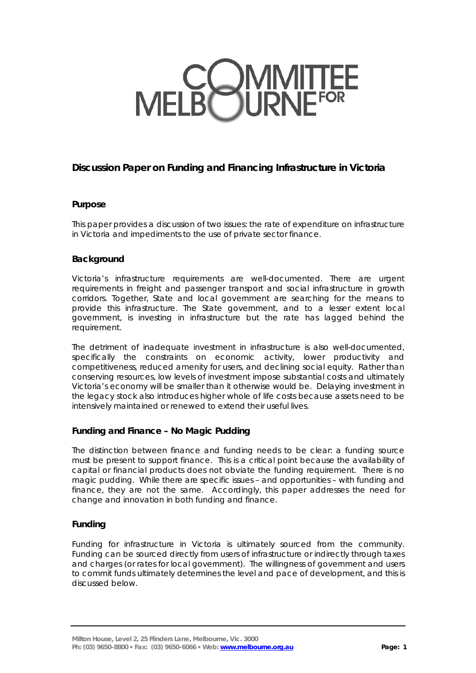# MELBOURNE<sup>FOR</sup>

# **Discussion Paper on Funding and Financing Infrastructure in Victoria**

# **Purpose**

This paper provides a discussion of two issues: the rate of expenditure on infrastructure in Victoria and impediments to the use of private sector finance.

# **Background**

Victoria's infrastructure requirements are well-documented. There are urgent requirements in freight and passenger transport and social infrastructure in growth corridors. Together, State and local government are searching for the means to provide this infrastructure. The State government, and to a lesser extent local government, is investing in infrastructure but the rate has lagged behind the requirement.

The detriment of inadequate investment in infrastructure is also well-documented, specifically the constraints on economic activity, lower productivity and competitiveness, reduced amenity for users, and declining social equity. Rather than conserving resources, low levels of investment impose substantial costs and ultimately Victoria's economy will be smaller than it otherwise would be. Delaying investment in the legacy stock also introduces higher whole of life costs because assets need to be intensively maintained or renewed to extend their useful lives.

# **Funding and Finance – No Magic Pudding**

The distinction between finance and funding needs to be clear: a funding source must be present to support finance. This is a critical point because the availability of capital or financial products does not obviate the funding requirement. There is no magic pudding. While there are specific issues – and opportunities – with funding and finance, they are not the same. Accordingly, this paper addresses the need for change and innovation in both funding and finance.

# **Funding**

Funding for infrastructure in Victoria is ultimately sourced from the community. Funding can be sourced directly from users of infrastructure or indirectly through taxes and charges (or rates for local government). The willingness of government and users to commit funds ultimately determines the level and pace of development, and this is discussed below.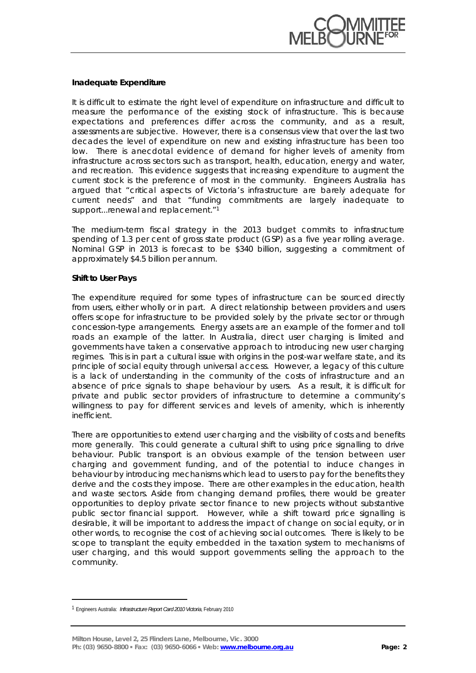

#### **Inadequate Expenditure**

It is difficult to estimate the right level of expenditure on infrastructure and difficult to measure the performance of the existing stock of infrastructure. This is because expectations and preferences differ across the community, and as a result, assessments are subjective. However, there is a consensus view that over the last two decades the level of expenditure on new and existing infrastructure has been too low. There is anecdotal evidence of demand for higher levels of amenity from infrastructure across sectors such as transport, health, education, energy and water, and recreation. This evidence suggests that increasing expenditure to augment the current stock is the preference of most in the community. Engineers Australia has argued that "critical aspects of Victoria's infrastructure are barely adequate for current needs" and that "funding commitments are largely inadequate to support...renewal and replacement."<sup>1</sup>

The medium-term fiscal strategy in the 2013 budget commits to infrastructure spending of 1.3 per cent of gross state product (GSP) as a five year rolling average. Nominal GSP in 2013 is forecast to be \$340 billion, suggesting a commitment of approximately \$4.5 billion per annum.

#### **Shift to User Pays**

The expenditure required for some types of infrastructure can be sourced directly from users, either wholly or in part. A direct relationship between providers and users offers scope for infrastructure to be provided solely by the private sector or through concession-type arrangements. Energy assets are an example of the former and toll roads an example of the latter. In Australia, direct user charging is limited and governments have taken a conservative approach to introducing new user charging regimes. This is in part a cultural issue with origins in the post-war welfare state, and its principle of social equity through universal access. However, a legacy of this culture is a lack of understanding in the community of the costs of infrastructure and an absence of price signals to shape behaviour by users. As a result, it is difficult for private and public sector providers of infrastructure to determine a community's willingness to pay for different services and levels of amenity, which is inherently inefficient.

There are opportunities to extend user charging and the visibility of costs and benefits more generally. This could generate a cultural shift to using price signalling to drive behaviour. Public transport is an obvious example of the tension between user charging and government funding, and of the potential to induce changes in behaviour by introducing mechanisms which lead to users to pay for the benefits they derive and the costs they impose. There are other examples in the education, health and waste sectors. Aside from changing demand profiles, there would be greater opportunities to deploy private sector finance to new projects without substantive public sector financial support. However, while a shift toward price signalling is desirable, it will be important to address the impact of change on social equity, or in other words, to recognise the cost of achieving social outcomes. There is likely to be scope to transplant the equity embedded in the taxation system to mechanisms of user charging, and this would support governments selling the approach to the community.

 $\overline{a}$ 

<sup>1</sup> Engineers Australia: *Infrastructure Report Card 2010 Victoria*, February 2010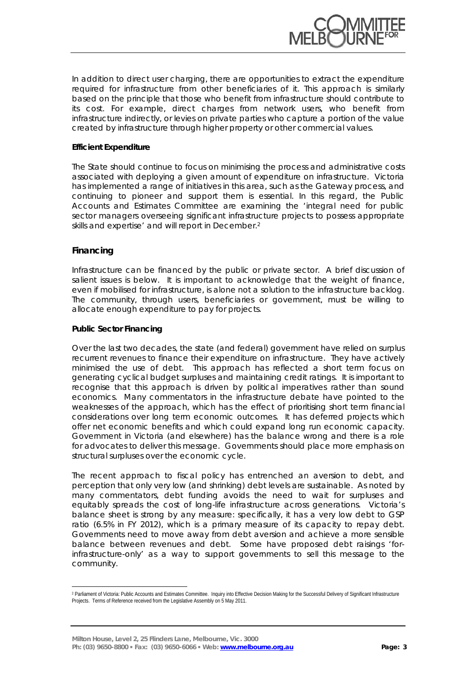

In addition to direct user charging, there are opportunities to extract the expenditure required for infrastructure from other beneficiaries of it. This approach is similarly based on the principle that those who benefit from infrastructure should contribute to its cost. For example, direct charges from network users, who benefit from infrastructure indirectly, or levies on private parties who capture a portion of the value created by infrastructure through higher property or other commercial values.

## **Efficient Expenditure**

The State should continue to focus on minimising the process and administrative costs associated with deploying a given amount of expenditure on infrastructure. Victoria has implemented a range of initiatives in this area, such as the Gateway process, and continuing to pioneer and support them is essential. In this regard, the Public Accounts and Estimates Committee are examining the 'integral need for public sector managers overseeing significant infrastructure projects to possess appropriate skills and expertise' and will report in December.2

## **Financing**

 $\overline{a}$ 

Infrastructure can be financed by the public or private sector. A brief discussion of salient issues is below. It is important to acknowledge that the weight of finance, even if mobilised for infrastructure, is alone not a solution to the infrastructure backlog. The community, through users, beneficiaries or government, must be willing to allocate enough expenditure to pay for projects.

#### **Public Sector Financing**

Over the last two decades, the state (and federal) government have relied on surplus recurrent revenues to finance their expenditure on infrastructure. They have actively minimised the use of debt. This approach has reflected a short term focus on generating cyclical budget surpluses and maintaining credit ratings. It is important to recognise that this approach is driven by political imperatives rather than sound economics. Many commentators in the infrastructure debate have pointed to the weaknesses of the approach, which has the effect of prioritising short term financial considerations over long term economic outcomes. It has deferred projects which offer net economic benefits and which could expand long run economic capacity. Government in Victoria (and elsewhere) has the balance wrong and there is a role for advocates to deliver this message. Governments should place more emphasis on structural surpluses over the economic cycle.

The recent approach to fiscal policy has entrenched an aversion to debt, and perception that only very low (and shrinking) debt levels are sustainable. As noted by many commentators, debt funding avoids the need to wait for surpluses and equitably spreads the cost of long-life infrastructure across generations. Victoria's balance sheet is strong by any measure: specifically, it has a very low debt to GSP ratio (6.5% in FY 2012), which is a primary measure of its capacity to repay debt. Governments need to move away from debt aversion and achieve a more sensible balance between revenues and debt. Some have proposed debt raisings 'forinfrastructure-only' as a way to support governments to sell this message to the community.

<sup>&</sup>lt;sup>2</sup> Parliament of Victoria: Public Accounts and Estimates Committee. Inquiry into Effective Decision Making for the Successful Delivery of Significant Infrastructure Projects. Terms of Reference received from the Legislative Assembly on 5 May 2011.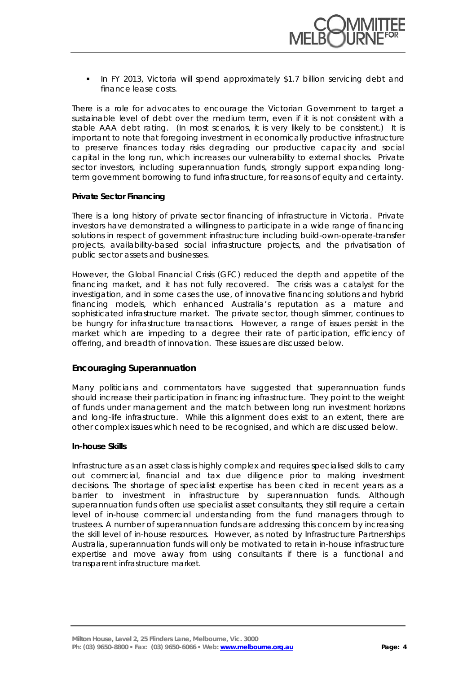

 In FY 2013, Victoria will spend approximately \$1.7 billion servicing debt and finance lease costs.

There is a role for advocates to encourage the Victorian Government to target a sustainable level of debt over the medium term, even if it is not consistent with a stable AAA debt rating. (In most scenarios, it is very likely to be consistent.) It is important to note that foregoing investment in economically productive infrastructure to preserve finances today risks degrading our productive capacity and social capital in the long run, which increases our vulnerability to external shocks. Private sector investors, including superannuation funds, strongly support expanding longterm government borrowing to fund infrastructure, for reasons of equity and certainty.

#### **Private Sector Financing**

There is a long history of private sector financing of infrastructure in Victoria. Private investors have demonstrated a willingness to participate in a wide range of financing solutions in respect of government infrastructure including build-own-operate-transfer projects, availability-based social infrastructure projects, and the privatisation of public sector assets and businesses.

However, the Global Financial Crisis (GFC) reduced the depth and appetite of the financing market, and it has not fully recovered. The crisis was a catalyst for the investigation, and in some cases the use, of innovative financing solutions and hybrid financing models, which enhanced Australia's reputation as a mature and sophisticated infrastructure market. The private sector, though slimmer, continues to be hungry for infrastructure transactions. However, a range of issues persist in the market which are impeding to a degree their rate of participation, efficiency of offering, and breadth of innovation. These issues are discussed below.

## **Encouraging Superannuation**

Many politicians and commentators have suggested that superannuation funds should increase their participation in financing infrastructure. They point to the weight of funds under management and the match between long run investment horizons and long-life infrastructure. While this alignment does exist to an extent, there are other complex issues which need to be recognised, and which are discussed below.

## **In-house Skills**

Infrastructure as an asset class is highly complex and requires specialised skills to carry out commercial, financial and tax due diligence prior to making investment decisions. The shortage of specialist expertise has been cited in recent years as a barrier to investment in infrastructure by superannuation funds. Although superannuation funds often use specialist asset consultants, they still require a certain level of in-house commercial understanding from the fund managers through to trustees. A number of superannuation funds are addressing this concern by increasing the skill level of in-house resources. However, as noted by Infrastructure Partnerships Australia, superannuation funds will only be motivated to retain in-house infrastructure expertise and move away from using consultants if there is a functional and transparent infrastructure market.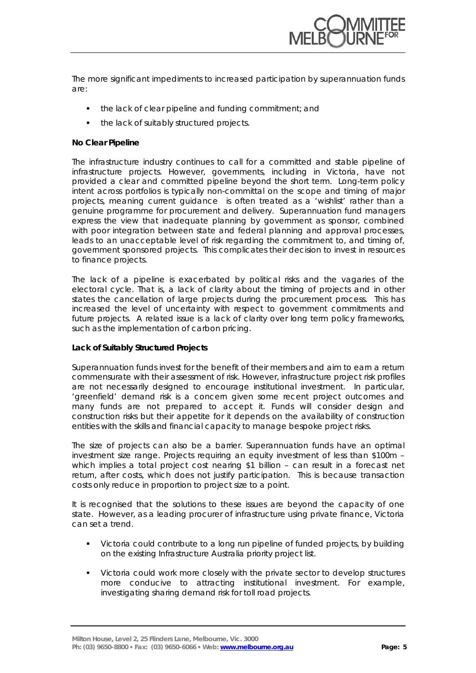

The more significant impediments to increased participation by superannuation funds are:

- the lack of clear pipeline and funding commitment; and
- the lack of suitably structured projects.

## **No Clear Pipeline**

The infrastructure industry continues to call for a committed and stable pipeline of infrastructure projects. However, governments, including in Victoria, have not provided a clear and committed pipeline beyond the short term. Long-term policy intent across portfolios is typically non-committal on the scope and timing of major projects, meaning current guidance is often treated as a 'wishlist' rather than a genuine programme for procurement and delivery. Superannuation fund managers express the view that inadequate planning by government as sponsor, combined with poor integration between state and federal planning and approval processes, leads to an unacceptable level of risk regarding the commitment to, and timing of, government sponsored projects. This complicates their decision to invest in resources to finance projects.

The lack of a pipeline is exacerbated by political risks and the vagaries of the electoral cycle. That is, a lack of clarity about the timing of projects and in other states the cancellation of large projects during the procurement process. This has increased the level of uncertainty with respect to government commitments and future projects. A related issue is a lack of clarity over long term policy frameworks, such as the implementation of carbon pricing.

#### **Lack of Suitably Structured Projects**

Superannuation funds invest for the benefit of their members and aim to earn a return commensurate with their assessment of risk. However, infrastructure project risk profiles are not necessarily designed to encourage institutional investment. In particular, 'greenfield' demand risk is a concern given some recent project outcomes and many funds are not prepared to accept it. Funds will consider design and construction risks but their appetite for it depends on the availability of construction entities with the skills and financial capacity to manage bespoke project risks.

The size of projects can also be a barrier. Superannuation funds have an optimal investment size range. Projects requiring an equity investment of less than \$100m – which implies a total project cost nearing \$1 billion – can result in a forecast net return, after costs, which does not justify participation. This is because transaction costs only reduce in proportion to project size to a point.

It is recognised that the solutions to these issues are beyond the capacity of one state. However, as a leading procurer of infrastructure using private finance, Victoria can set a trend.

- Victoria could contribute to a long run pipeline of funded projects, by building on the existing Infrastructure Australia priority project list.
- Victoria could work more closely with the private sector to develop structures more conducive to attracting institutional investment. For example, investigating sharing demand risk for toll road projects.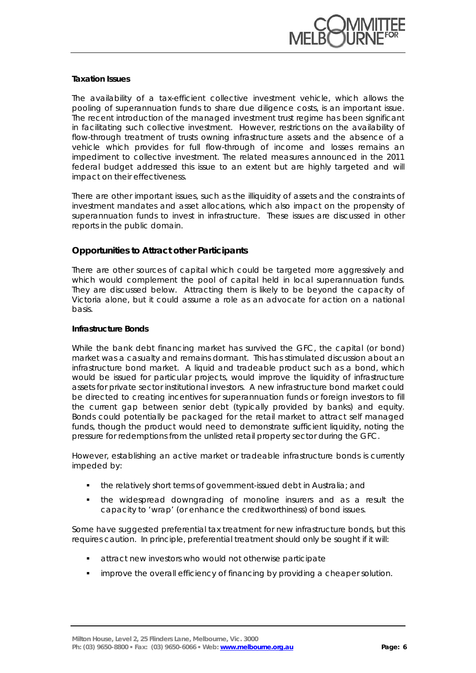

## **Taxation Issues**

The availability of a tax-efficient collective investment vehicle, which allows the pooling of superannuation funds to share due diligence costs, is an important issue. The recent introduction of the managed investment trust regime has been significant in facilitating such collective investment. However, restrictions on the availability of flow-through treatment of trusts owning infrastructure assets and the absence of a vehicle which provides for full flow-through of income and losses remains an impediment to collective investment. The related measures announced in the 2011 federal budget addressed this issue to an extent but are highly targeted and will impact on their effectiveness.

There are other important issues, such as the illiquidity of assets and the constraints of investment mandates and asset allocations, which also impact on the propensity of superannuation funds to invest in infrastructure. These issues are discussed in other reports in the public domain.

# **Opportunities to Attract other Participants**

There are other sources of capital which could be targeted more aggressively and which would complement the pool of capital held in local superannuation funds. They are discussed below. Attracting them is likely to be beyond the capacity of Victoria alone, but it could assume a role as an advocate for action on a national basis.

#### **Infrastructure Bonds**

While the bank debt financing market has survived the GFC, the capital (or bond) market was a casualty and remains dormant. This has stimulated discussion about an infrastructure bond market. A liquid and tradeable product such as a bond, which would be issued for particular projects, would improve the liquidity of infrastructure assets for private sector institutional investors. A new infrastructure bond market could be directed to creating incentives for superannuation funds or foreign investors to fill the current gap between senior debt (typically provided by banks) and equity. Bonds could potentially be packaged for the retail market to attract self managed funds, though the product would need to demonstrate sufficient liquidity, noting the pressure for redemptions from the unlisted retail property sector during the GFC.

However, establishing an active market or tradeable infrastructure bonds is currently impeded by:

- the relatively short terms of government-issued debt in Australia; and
- the widespread downgrading of monoline insurers and as a result the capacity to 'wrap' (or enhance the creditworthiness) of bond issues.

Some have suggested preferential tax treatment for new infrastructure bonds, but this requires caution. In principle, preferential treatment should only be sought if it will:

- attract new investors who would not otherwise participate
- improve the overall efficiency of financing by providing a cheaper solution.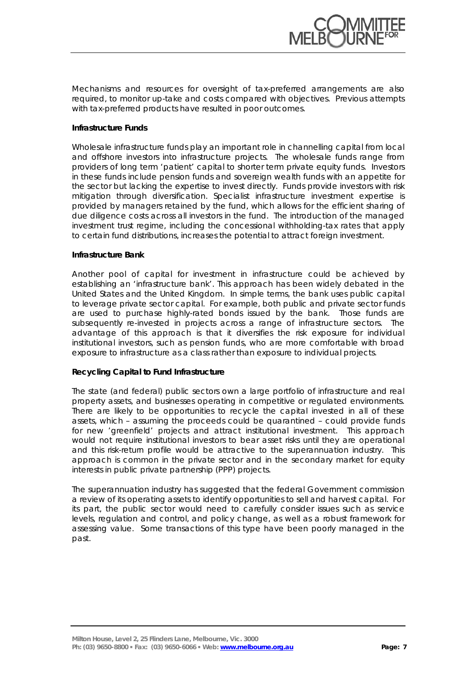

Mechanisms and resources for oversight of tax-preferred arrangements are also required, to monitor up-take and costs compared with objectives. Previous attempts with tax-preferred products have resulted in poor outcomes.

## **Infrastructure Funds**

Wholesale infrastructure funds play an important role in channelling capital from local and offshore investors into infrastructure projects. The wholesale funds range from providers of long term 'patient' capital to shorter term private equity funds. Investors in these funds include pension funds and sovereign wealth funds with an appetite for the sector but lacking the expertise to invest directly. Funds provide investors with risk mitigation through diversification. Specialist infrastructure investment expertise is provided by managers retained by the fund, which allows for the efficient sharing of due diligence costs across all investors in the fund. The introduction of the managed investment trust regime, including the concessional withholding-tax rates that apply to certain fund distributions, increases the potential to attract foreign investment.

#### **Infrastructure Bank**

Another pool of capital for investment in infrastructure could be achieved by establishing an 'infrastructure bank'. This approach has been widely debated in the United States and the United Kingdom. In simple terms, the bank uses public capital to leverage private sector capital. For example, both public and private sector funds are used to purchase highly-rated bonds issued by the bank. Those funds are subsequently re-invested in projects across a range of infrastructure sectors. The advantage of this approach is that it diversifies the risk exposure for individual institutional investors, such as pension funds, who are more comfortable with broad exposure to infrastructure as a class rather than exposure to individual projects.

#### **Recycling Capital to Fund Infrastructure**

The state (and federal) public sectors own a large portfolio of infrastructure and real property assets, and businesses operating in competitive or regulated environments. There are likely to be opportunities to recycle the capital invested in all of these assets, which – assuming the proceeds could be quarantined – could provide funds for new 'greenfield' projects and attract institutional investment. This approach would not require institutional investors to bear asset risks until they are operational and this risk-return profile would be attractive to the superannuation industry. This approach is common in the private sector and in the secondary market for equity interests in public private partnership (PPP) projects.

The superannuation industry has suggested that the federal Government commission a review of its operating assets to identify opportunities to sell and harvest capital. For its part, the public sector would need to carefully consider issues such as service levels, regulation and control, and policy change, as well as a robust framework for assessing value. Some transactions of this type have been poorly managed in the past.